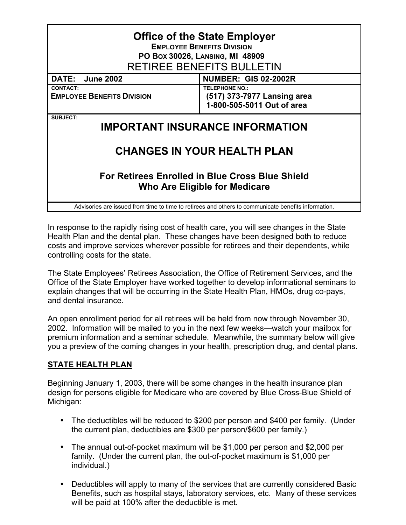| <b>Office of the State Employer</b><br><b>EMPLOYEE BENEFITS DIVISION</b><br>PO Box 30026, LANSING, MI 48909<br><b>RETIREE BENEFITS BULLETIN</b> |                                                                                    |
|-------------------------------------------------------------------------------------------------------------------------------------------------|------------------------------------------------------------------------------------|
| DATE: June 2002                                                                                                                                 | <b>NUMBER: GIS 02-2002R</b>                                                        |
| <b>CONTACT:</b><br><b>EMPLOYEE BENEFITS DIVISION</b>                                                                                            | <b>TELEPHONE NO.:</b><br>(517) 373-7977 Lansing area<br>1-800-505-5011 Out of area |
| SUBJECT:<br><b>IMPORTANT INSURANCE INFORMATION</b>                                                                                              |                                                                                    |
| <b>CHANGES IN YOUR HEALTH PLAN</b>                                                                                                              |                                                                                    |
| For Retirees Enrolled in Blue Cross Blue Shield<br>Who Are Eligible for Medicare                                                                |                                                                                    |
| Advisories are issued from time to time to retirees and others to communicate benefits information.                                             |                                                                                    |

In response to the rapidly rising cost of health care, you will see changes in the State Health Plan and the dental plan. These changes have been designed both to reduce costs and improve services wherever possible for retirees and their dependents, while controlling costs for the state.

The State Employees' Retirees Association, the Office of Retirement Services, and the Office of the State Employer have worked together to develop informational seminars to explain changes that will be occurring in the State Health Plan, HMOs, drug co-pays, and dental insurance.

An open enrollment period for all retirees will be held from now through November 30, 2002. Information will be mailed to you in the next few weeks—watch your mailbox for premium information and a seminar schedule. Meanwhile, the summary below will give you a preview of the coming changes in your health, prescription drug, and dental plans.

## **STATE HEALTH PLAN**

Beginning January 1, 2003, there will be some changes in the health insurance plan design for persons eligible for Medicare who are covered by Blue Cross-Blue Shield of Michigan:

- The deductibles will be reduced to \$200 per person and \$400 per family. (Under the current plan, deductibles are \$300 per person/\$600 per family.)
- The annual out-of-pocket maximum will be \$1,000 per person and \$2,000 per family. (Under the current plan, the out-of-pocket maximum is \$1,000 per individual.)
- Deductibles will apply to many of the services that are currently considered Basic Benefits, such as hospital stays, laboratory services, etc. Many of these services will be paid at 100% after the deductible is met.